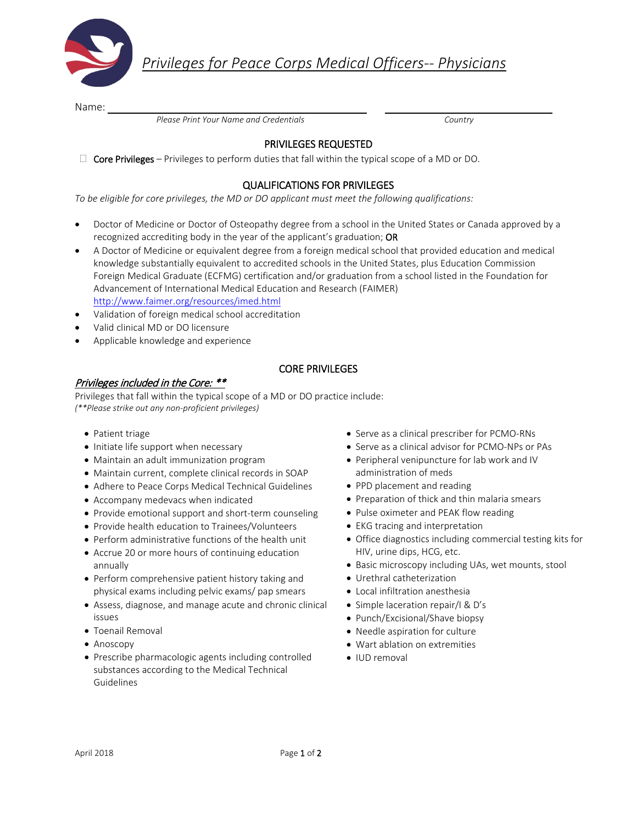

*Privileges for Peace Corps Medical Officers-- Physicians*

Name:

 *Please Print Your Name and Credentials Country*

# PRIVILEGES REQUESTED

 $\Box$  Core Privileges – Privileges to perform duties that fall within the typical scope of a MD or DO.

## QUALIFICATIONS FOR PRIVILEGES

*To be eligible for core privileges, the MD or DO applicant must meet the following qualifications:* 

- Doctor of Medicine or Doctor of Osteopathy degree from a school in the United States or Canada approved by a recognized accrediting body in the year of the applicant's graduation; OR
- A Doctor of Medicine or equivalent degree from a foreign medical school that provided education and medical knowledge substantially equivalent to accredited schools in the United States, plus Education Commission Foreign Medical Graduate (ECFMG) certification and/or graduation from a school listed in the Foundation for Advancement of International Medical Education and Research (FAIMER) <http://www.faimer.org/resources/imed.html>
- Validation of foreign medical school accreditation
- Valid clinical MD or DO licensure
- Applicable knowledge and experience

### CORE PRIVILEGES

### Privileges included in the Core: \*\*

Privileges that fall within the typical scope of a MD or DO practice include: *(\*\*Please strike out any non-proficient privileges)* 

- Patient triage
- Initiate life support when necessary
- Maintain an adult immunization program
- Maintain current, complete clinical records in SOAP
- Adhere to Peace Corps Medical Technical Guidelines
- Accompany medevacs when indicated
- Provide emotional support and short-term counseling
- Provide health education to Trainees/Volunteers
- Perform administrative functions of the health unit
- Accrue 20 or more hours of continuing education annually
- Perform comprehensive patient history taking and physical exams including pelvic exams/ pap smears
- Assess, diagnose, and manage acute and chronic clinical issues
- Toenail Removal
- Anoscopy
- Prescribe pharmacologic agents including controlled substances according to the Medical Technical Guidelines
- Serve as a clinical prescriber for PCMO-RNs
- Serve as a clinical advisor for PCMO-NPs or PAs
- Peripheral venipuncture for lab work and IV administration of meds
- PPD placement and reading
- Preparation of thick and thin malaria smears
- Pulse oximeter and PEAK flow reading
- EKG tracing and interpretation
- Office diagnostics including commercial testing kits for HIV, urine dips, HCG, etc.
- Basic microscopy including UAs, wet mounts, stool
- Urethral catheterization
- Local infiltration anesthesia
- Simple laceration repair/I & D's
- Punch/Excisional/Shave biopsy
- Needle aspiration for culture
- Wart ablation on extremities
- IUD removal